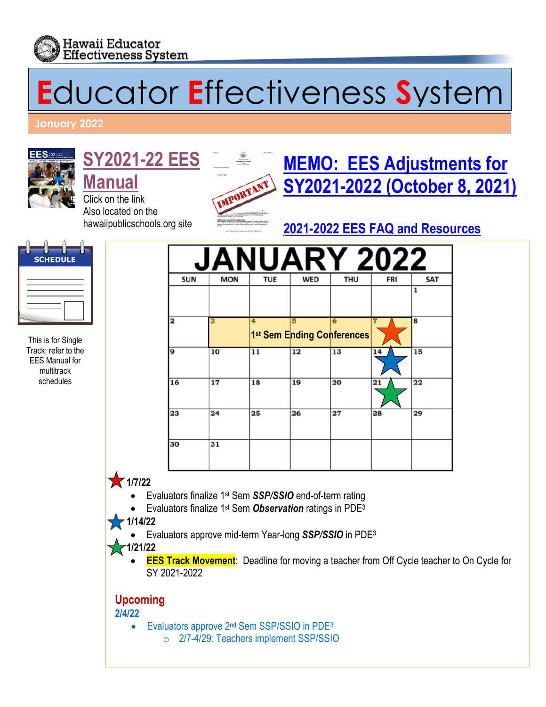

# **E**ducator **E**ffectiveness **S**ystem

#### **January 2022**



## **[SY2021-22](http://www.hawaiipublicschools.org/DOE%20Forms/Educator%20Effectivness/EESManual.pdf) EES**

**[Manual](http://www.hawaiipublicschools.org/DOE%20Forms/Educator%20Effectivness/EESManual.pdf)** Click on the link Also located on the hawaiipublicschools.org site



## **[MEMO: EES Adjustments for](https://alala1.k12.hi.us/PUBLIC/DOEMEMOS.NSF/c43efd5c660087e10a2575cf0064fb92/e79bef91bac0a9c70a25876800668e3e/$FILE/41113.pdf) [SY2021-2022 \(October 8, 2021\)](https://alala1.k12.hi.us/PUBLIC/DOEMEMOS.NSF/c43efd5c660087e10a2575cf0064fb92/e79bef91bac0a9c70a25876800668e3e/$FILE/41113.pdf)**

### **[2021-2022 EES FAQ and Resources](https://drive.google.com/drive/folders/1H8KaCLiHSlMp63cTnfqEYtqOarR5onfK)**



This is for Single Track; refer to the EES Manual for multitrack schedules

| <b>SUN</b>              | <b>MON</b> | <b>TUE</b> | <b>WED</b>                      | <b>THU</b> | <b>FRI</b> | SAT |
|-------------------------|------------|------------|---------------------------------|------------|------------|-----|
|                         |            |            |                                 |            |            |     |
| $\overline{\mathbf{2}}$ | 3          | 4          | 5<br>1st Sem Ending Conferences | 6          |            | 8   |
| 9                       | 10         | 11         | 12                              | 13         | 14         | 15  |
| 16                      | 17         | 18         | 19                              | 20         | 21         | 22  |
| 23                      | 24         | 25         | 26                              | 27         | 28         | 29  |
| 30                      | 31         |            |                                 |            |            |     |

#### • **1/7/22**

- Evaluators finalize 1st Sem *SSP/SSIO* end-of-term rating
- Evaluators finalize 1st Sem *Observation* ratings in PDE3

#### • **1/14/22**

• Evaluators approve mid-term Year-long *SSP/SSIO* in PDE3

#### • **1/21/22**

**EES Track Movement**: Deadline for moving a teacher from Off Cycle teacher to On Cycle for SY 2021-2022

#### **Upcoming**

**2/4/22** 

- Evaluators approve 2<sup>nd</sup> Sem SSP/SSIO in PDE<sup>3</sup>
	- o 2/7-4/29: Teachers implement SSP/SSIO